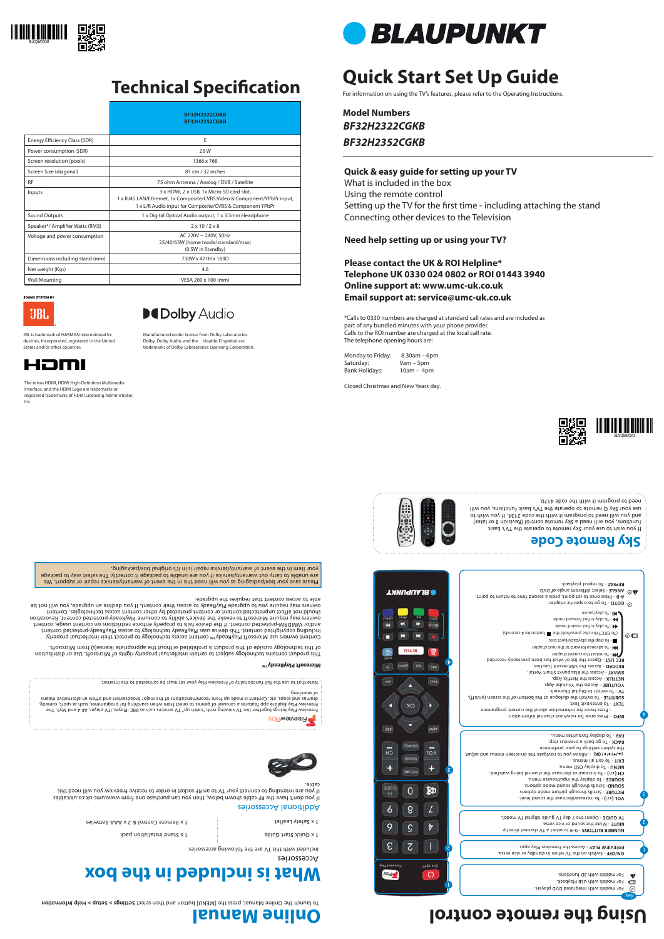# **Quick Start Set Up Guide**

For information on using the TV's features, please refer to the Operating Instructions.

**Model Numbers** *BF32H2322CGKB BF32H2352CGKB*

### **Quick & easy guide for setting up your TV**

What is included in the box Using the remote control Setting up the TV for the first time - including attaching the stand Connecting other devices to the Television

#### **Need help setting up or using your TV?**

**Please contact the UK & ROI Helpline\* Telephone UK 0330 024 0802 or ROI 01443 3940 Online support at: www.umc-uk.co.uk Email support at: service@umc-uk.co.uk**

\*Calls to 0330 numbers are charged at standard call rates and are included as part of any bundled minutes with your phone provider. Calls to the ROI number are charged at the local call rate. The telephone opening hours are:

Monday to Friday: 8.30am – 6pm Saturday: 9am – 5pm Bank Holidays: 10am – 4pm

Closed Christmas and New Years day.





**Microsoft PlayReady™**

This product contains technology subject to certain intellectual property rights of Microsoft. Use or distribution of this technology outside of this product is prohibited without the appropriate license(s) from Microsoft.

Content owners use Microsoft PlayReady™ content access technology to protect their intellectual property, including copyrighted content. This device uses PlayReady technology to access PlayReady-protected content and/or WMDRM-protected content. If the device fails to properly enforce restrictions on content usage, content owners may require Microsoft to revoke the device's ability to consume PlayReady-protected content. Revocation should not affect unprotected content or content protected by other content access technologies. Content owners may require you to upgrade PlayReady to access their content. If you decline an upgrade, you will not be

able to access content that requires the upgrade.

Accessories

Included with this TV are the following accessories

## **What is included in the box**

1 x Quick Start Guide

1 x Safety Leaflet et a 2 x Remote Control & 2 x Aateries et al. (1998) x 1 x Safety Leafleries et al. (1998)

1 x Stand installation pack

#### Additional Accessories

If you don't have the RF cable shown below, then you can purchase one from www.umc-uk.co.uk/cables If you are intending to connect your TV to an RF socket in order to receive Freeview you will need this cable.













If you wish to use your Sky remote to operate the TV's basic functions, you will need a Sky remote control (Revision 9 or later) and you will need to program it with the code 2134. Act wish to use your Sky Q remote to operate the TV's basic functions, you will

need to program it with the code 4170.

# **Using the remote control**

Freeview Play Explore app features a carousel of genres to select from when searching for programmes, such as sport, comedy,<br>Freeview Play brings together live TV viewing with "catch up" TV services such as BBC iPlayer, VT dramas and soaps, etc. Content is made up from recommendations of the major broadcasters and offers an alternative means



### **Online Manual**

To launch the Online Manual, press the [MENU] button and then select Setuties < equp < equp selection and the manual on







٤

 $\mathbf{\mathit{t}}$ 

 $\odot$   $\square$ 



# **Technical Specification**

The terms HDMI, HDMI High-Definition Multimedia Interface, and the HDMI Logo are trademarks or registered trademarks of HDMI Licensing Administrator,

42mI

 - To increase/decrease the sound level. **VOL (+/-)** - Scrolls through picture mode options. **PICTURE** - Scrolls through sound mode options. **SOUND** - To display the input/source menu. **SOURCE** - To increase or decrease the channel being watched. **CH (+/-)** - To display OSD menu. **MENU** - To exit all menus. **EXIT**

the system settings to your preference. BACK - To go back a previous step. - To display favourites menu. **FAV**

- Press once for now/next channel information. **INFO** 



2

l.

Key

◎













Please save your box/packaging as you will need this in the event of warranty/service repair or support. We

are unable to carry out warranty/service if you are unable to package it correctly. The safest way to package your item in the event of warranty/service repair is in it's original box/packaging.

of searching.

Note that to use the full functionality of Freeview Play your set must be connected to the internet.

|                                 | <b>BF32H2322CGKB</b><br><b>BF32H2352CGKB</b>                                                                                                                                     |  |
|---------------------------------|----------------------------------------------------------------------------------------------------------------------------------------------------------------------------------|--|
| Energy Efficiency Class (SDR)   | Ε                                                                                                                                                                                |  |
| Power consumption (SDR)         | 25W                                                                                                                                                                              |  |
| Screen resolution (pixels)      | 1366 x 768                                                                                                                                                                       |  |
| Screen Size (diagonal)          | 81 cm / 32 inches                                                                                                                                                                |  |
| <b>RF</b>                       | 75 ohm Antenna / Analog / DVB / Satellite                                                                                                                                        |  |
| Inputs                          | 3 x HDMI, 2 x USB, 1x Micro SD card slot,<br>1 x RJ45 LAN/Ethernet, 1x Composite/CVBS Video & Component/YPbPr input,<br>1 x L/R Audio input for Composite/CVBS & Component YPbPr |  |
| Sound Outputs                   | 1 x Digital Optical Audio output, 1 x 3.5mm Headphone                                                                                                                            |  |
| Speaker*/ Amplifier Watts (RMS) | $2 \times 10 / 2 \times 8$                                                                                                                                                       |  |
| Voltage and power consumption   | AC 220V ~ 240V: 50Hz<br>25/40/65W (home mode/standard/max)<br>(0.5W in Standby)                                                                                                  |  |
| Dimensions including stand (mm) | 730W x 471H x 169D                                                                                                                                                               |  |
| Net weight (Kgs)                | 4.6                                                                                                                                                                              |  |
| <b>Wall Mounting</b>            | VESA 200 x 100 (mm)                                                                                                                                                              |  |

**SOUND SYSTEM BY** UBL.

> Manufactured under license from Dolby Laboratories. Dolby, Dolby Audio, and the double-D symbol are trademarks of Dolby Laboratories Licensing Corporation.



Inc.



JBL is trademark of HARMAN International Industries, Incorporated, registered in the United States and/or other countries.